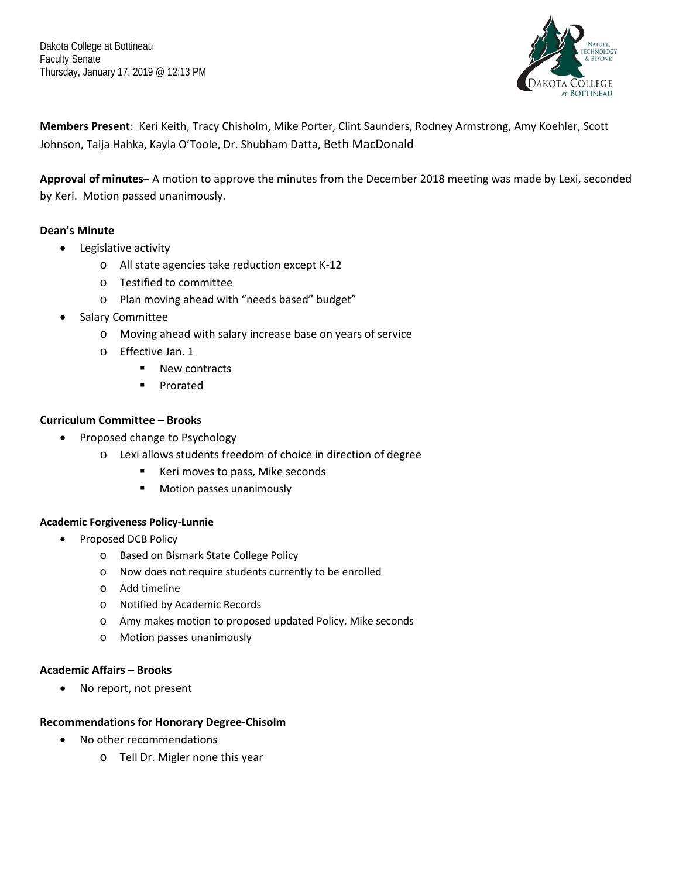Dakota College at Bottineau Faculty Senate Thursday, January 17, 2019 @ 12:13 PM



**Members Present**: Keri Keith, Tracy Chisholm, Mike Porter, Clint Saunders, Rodney Armstrong, Amy Koehler, Scott Johnson, Taija Hahka, Kayla O'Toole, Dr. Shubham Datta, Beth MacDonald

**Approval of minutes**– A motion to approve the minutes from the December 2018 meeting was made by Lexi, seconded by Keri. Motion passed unanimously.

# **Dean's Minute**

- Legislative activity
	- o All state agencies take reduction except K-12
	- o Testified to committee
	- o Plan moving ahead with "needs based" budget"
- Salary Committee
	- o Moving ahead with salary increase base on years of service
	- o Effective Jan. 1
		- New contracts
		- **Prorated**

# **Curriculum Committee – Brooks**

- Proposed change to Psychology
	- o Lexi allows students freedom of choice in direction of degree
		- Keri moves to pass, Mike seconds
		- **Motion passes unanimously**

# **Academic Forgiveness Policy-Lunnie**

- Proposed DCB Policy
	- o Based on Bismark State College Policy
	- o Now does not require students currently to be enrolled
	- o Add timeline
	- o Notified by Academic Records
	- o Amy makes motion to proposed updated Policy, Mike seconds
	- o Motion passes unanimously

# **Academic Affairs – Brooks**

• No report, not present

# **Recommendations for Honorary Degree-Chisolm**

- No other recommendations
	- o Tell Dr. Migler none this year